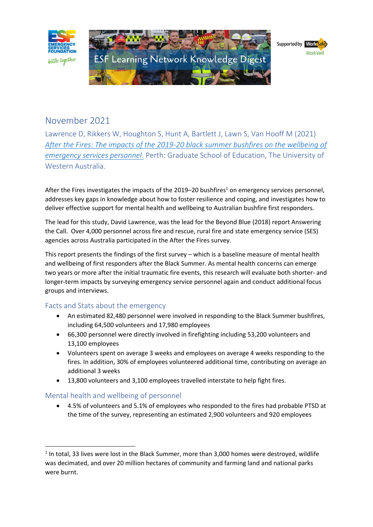

# November 2021

Lawrence D, Rikkers W, Houghton S, Hunt A, Bartlett J, Lawn S, Van Hooff M (2021) *After the Fires: [The impacts of the 2019-20 black summer bushfires on the wellbeing of](https://esf.com.au/wp-content/uploads/2021/11/After-the-Fires-Survey-Report-Exec-Summary-Wave-1.pdf)  [emergency services personnel](https://esf.com.au/wp-content/uploads/2021/11/After-the-Fires-Survey-Report-Exec-Summary-Wave-1.pdf)*. Perth: Graduate School of Education, The University of Western Australia.

After the Fires investigates the impacts of the 2019–20 bushfires<sup>1</sup> on emergency services personnel, addresses key gaps in knowledge about how to foster resilience and coping, and investigates how to deliver effective support for mental health and wellbeing to Australian bushfire first responders.

The lead for this study, David Lawrence, was the lead for the Beyond Blue (2018) report Answering the Call. Over 4,000 personnel across fire and rescue, rural fire and state emergency service (SES) agencies across Australia participated in the After the Fires survey.

This report presents the findings of the first survey – which is a baseline measure of mental health and wellbeing of first responders after the Black Summer. As mental health concerns can emerge two years or more after the initial traumatic fire events, this research will evaluate both shorter- and longer-term impacts by surveying emergency service personnel again and conduct additional focus groups and interviews.

## Facts and Stats about the emergency

- An estimated 82,480 personnel were involved in responding to the Black Summer bushfires, including 64,500 volunteers and 17,980 employees
- 66,300 personnel were directly involved in firefighting including 53,200 volunteers and 13,100 employees
- Volunteers spent on average 3 weeks and employees on average 4 weeks responding to the fires. In addition, 30% of employees volunteered additional time, contributing on average an additional 3 weeks
- 13,800 volunteers and 3,100 employees travelled interstate to help fight fires.

## Mental health and wellbeing of personnel

• 4.5% of volunteers and 5.1% of employees who responded to the fires had probable PTSD at the time of the survey, representing an estimated 2,900 volunteers and 920 employees

 $<sup>1</sup>$  In total, 33 lives were lost in the Black Summer, more than 3,000 homes were destroyed, wildlife</sup> was decimated, and over 20 million hectares of community and farming land and national parks were burnt.